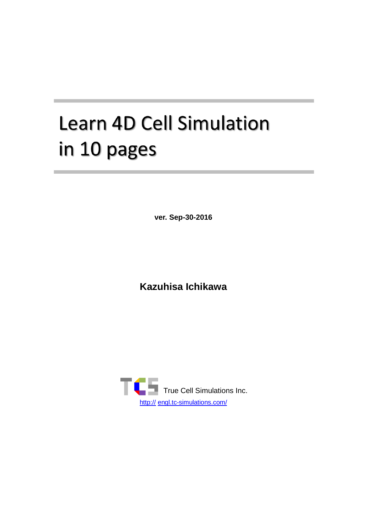# **Learn 4D Cell Simulation** in 10 pages

**ver. Sep-30-2016**

**Kazuhisa Ichikawa**

<span id="page-0-0"></span>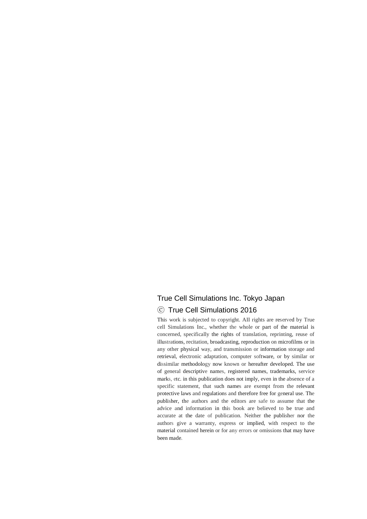#### True Cell Simulations Inc. Tokyo Japan

#### ⓒ True Cell Simulations 2016

This work is subjected to copyright. AII rights are reserved by True cell Simulations Inc., whether the whole or part of the material is concerned, specifically the rights of translation, reprinting, reuse of illustrations, recitation, broadcasting, reproduction on microfilms or in any other physical way, and transmission or information storage and retrieval, electronic adaptation, computer software, or by similar or dissimilar methodology now known or hereafter developed. The use of general descriptive names, registered names, trademarks, service marks, etc. in this publication does not imply, even in the absence of a specific statement, that such names are exempt from the relevant protective laws and regulations and therefore free for general use. The publisher, the authors and the editors are safe to assume that the advice and information in this book are believed to be true and accurate at the date of publication. Neither the publisher nor the authors give a warranty, express or implied, with respect to the material contained herein or for any errors or omissions that may have been made.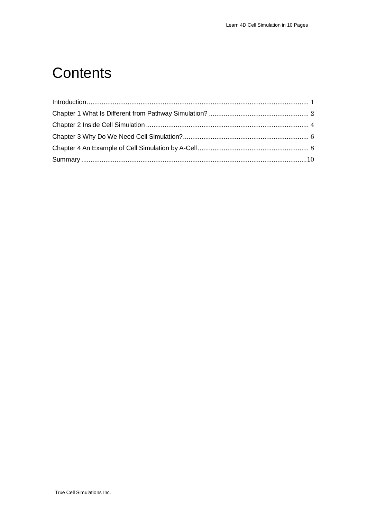# **Contents**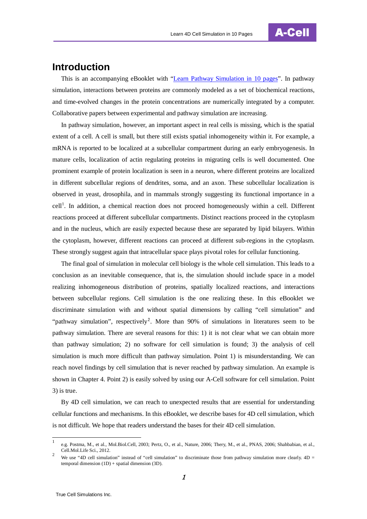

## <span id="page-4-0"></span>**Introduction**

This is an accompanying eBooklet with ["Learn Pathway Simulation in 10 pages"](http://engl.tc-simulations.com/dummy%ef%bc%91/dummy2/learn-pathway-simulation-in-10-pages/). In pathway simulation, interactions between proteins are commonly modeled as a set of biochemical reactions, and time-evolved changes in the protein concentrations are numerically integrated by a computer. Collaborative papers between experimental and pathway simulation are increasing.

In pathway simulation, however, an important aspect in real cells is missing, which is the spatial extent of a cell. A cell is small, but there still exists spatial inhomogeneity within it. For example, a mRNA is reported to be localized at a subcellular compartment during an early embryogenesis. In mature cells, localization of actin regulating proteins in migrating cells is well documented. One prominent example of protein localization is seen in a neuron, where different proteins are localized in different subcellular regions of dendrites, soma, and an axon. These subcellular localization is observed in yeast, drosophila, and in mammals strongly suggesting its functional importance in a cell<sup>[1](#page-0-0)</sup>. In addition, a chemical reaction does not proceed homogeneously within a cell. Different reactions proceed at different subcellular compartments. Distinct reactions proceed in the cytoplasm and in the nucleus, which are easily expected because these are separated by lipid bilayers. Within the cytoplasm, however, different reactions can proceed at different sub-regions in the cytoplasm. These strongly suggest again that intracellular space plays pivotal roles for cellular functioning.

The final goal of simulation in molecular cell biology is the whole cell simulation. This leads to a conclusion as an inevitable consequence, that is, the simulation should include space in a model realizing inhomogeneous distribution of proteins, spatially localized reactions, and interactions between subcellular regions. Cell simulation is the one realizing these. In this eBooklet we discriminate simulation with and without spatial dimensions by calling "cell simulation" and "pathway simulation", respectively<sup>[2](#page-4-1)</sup>. More than 90% of simulations in literatures seem to be pathway simulation. There are several reasons for this: 1) it is not clear what we can obtain more than pathway simulation; 2) no software for cell simulation is found; 3) the analysis of cell simulation is much more difficult than pathway simulation. Point 1) is misunderstanding. We can reach novel findings by cell simulation that is never reached by pathway simulation. An example is shown in Chapter 4. Point 2) is easily solved by using our A-Cell software for cell simulation. Point 3) is true.

By 4D cell simulation, we can reach to unexpected results that are essential for understanding cellular functions and mechanisms. In this eBooklet, we describe bases for 4D cell simulation, which is not difficult. We hope that readers understand the bases for their 4D cell simulation.

<span id="page-4-2"></span><sup>1</sup> e.g. Postma, M., et al., Mol.Biol.Cell, 2003; Pertz, O., et al., Nature, 2006; Thery, M., et al., PNAS, 2006; Shahbabian, et al., Cell.Mol.Life Sci., 2012.

<span id="page-4-1"></span><sup>&</sup>lt;sup>2</sup> We use "4D cell simulation" instead of "cell simulation" to discriminate those from pathway simulation more clearly. 4D = temporal dimension  $(1D)$  + spatial dimension  $(3D)$ .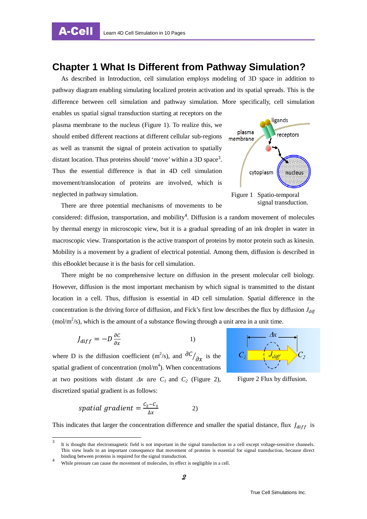A-Cell

#### <span id="page-5-0"></span>**Chapter 1 What Is Different from Pathway Simulation?**

As described in Introduction, cell simulation employs modeling of 3D space in addition to pathway diagram enabling simulating localized protein activation and its spatial spreads. This is the difference between cell simulation and pathway simulation. More specifically, cell simulation

enables us spatial signal transduction starting at receptors on the plasma membrane to the nucleus (Figure 1). To realize this, we should embed different reactions at different cellular sub-regions as well as transmit the signal of protein activation to spatially distant location. Thus proteins should 'move' within a [3](#page-4-2)D space<sup>3</sup>. Thus the essential difference is that in 4D cell simulation movement/translocation of proteins are involved, which is neglected in pathway simulation.



There are three potential mechanisms of movements to be

considered: diffusion, transportation, and mobility<sup>[4](#page-5-1)</sup>. Diffusion is a random movement of molecules by thermal energy in microscopic view, but it is a gradual spreading of an ink droplet in water in macroscopic view. Transportation is the active transport of proteins by motor protein such as kinesin. Mobility is a movement by a gradient of electrical potential. Among them, diffusion is described in this eBooklet because it is the basis for cell simulation.

There might be no comprehensive lecture on diffusion in the present molecular cell biology. However, diffusion is the most important mechanism by which signal is transmitted to the distant location in a cell. Thus, diffusion is essential in 4D cell simulation. Spatial difference in the concentration is the driving force of diffusion, and Fick's first low describes the flux by diffusion  $J_{diff}$ (mol/m<sup>2</sup>/s), which is the amount of a substance flowing through a unit area in a unit time.

$$
J_{diff} = -D \frac{\partial c}{\partial x} \tag{1}
$$

where D is the diffusion coefficient (m<sup>2</sup>/s), and  $\partial C/_{\partial x}$  is the spatial gradient of concentration  $(mol/m<sup>4</sup>)$ . When concentrations at two positions with distant  $\Delta x$  are  $C_1$  and  $C_2$  (Figure 2), discretized spatial gradient is as follows:



Figure 2 Flux by diffusion.

spatial gradient = 
$$
\frac{c_2 - c_1}{\Delta x}
$$
 2)

<span id="page-5-2"></span>This indicates that larger the concentration difference and smaller the spatial distance, flux  $J_{diff}$  is

It is thought that electromagnetic field is not important in the signal transduction in a cell except voltage-sensitive channels. This view leads to an important consequence that movement of proteins is essential for signal transduction, because direct binding between proteins is required for the signal transduction.

<span id="page-5-1"></span>While pressure can cause the movement of molecules, its effect is negligible in a cell.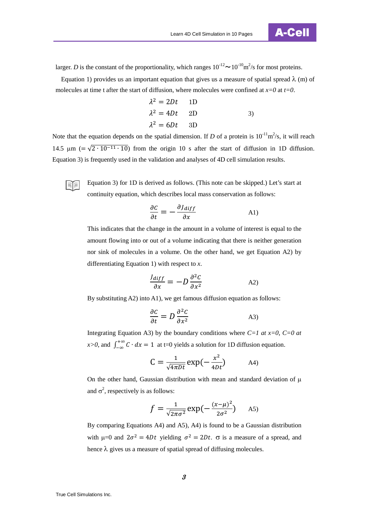

larger. *D* is the constant of the proportionality, which ranges  $10^{-12} \sim 10^{-10} \text{m}^2/\text{s}$  for most proteins.

Equation 1) provides us an important equation that gives us a measure of spatial spread  $\lambda$  (m) of molecules at time t after the start of diffusion, where molecules were confined at *x=0* at *t=0*.

$$
\lambda^2 = 2Dt \qquad \text{1D}
$$
  

$$
\lambda^2 = 4Dt \qquad \text{2D} \qquad \text{3}
$$
  

$$
\lambda^2 = 6Dt \qquad \text{3D}
$$

Note that the equation depends on the spatial dimension. If *D* of a protein is  $10^{-11}$ m<sup>2</sup>/s, it will reach 14.5 µm ( $=\sqrt{2 \cdot 10^{-11} \cdot 10}$ ) from the origin 10 s after the start of diffusion in 1D diffusion. Equation 3) is frequently used in the validation and analyses of 4D cell simulation results.

> Equation 3) for 1D is derived as follows. (This note can be skipped.) Let's start at continuity equation, which describes local mass conservation as follows:

$$
\frac{\partial C}{\partial t} = -\frac{\partial J_{diff}}{\partial x}
$$
 (A1)

This indicates that the change in the amount in a volume of interest is equal to the amount flowing into or out of a volume indicating that there is neither generation nor sink of molecules in a volume. On the other hand, we get Equation A2) by differentiating Equation 1) with respect to *x*.

$$
\frac{J_{diff}}{\partial x} = -D \frac{\partial^2 C}{\partial x^2}
$$

By substituting A2) into A1), we get famous diffusion equation as follows:

$$
\frac{\partial c}{\partial t} = D \frac{\partial^2 c}{\partial x^2} \tag{A3}
$$

Integrating Equation A3) by the boundary conditions where  $C=1$  at  $x=0$ ,  $C=0$  at *x*>*0*, and  $\int_{-\infty}^{+\infty} C \cdot dx = 1$  at t=0 yields a solution for 1D diffusion equation.

$$
C = \frac{1}{\sqrt{4\pi Dt}} \exp(-\frac{x^2}{4Dt})
$$

On the other hand, Gaussian distribution with mean and standard deviation of  $\mu$ and  $\sigma^2$ , respectively is as follows:

$$
f = \frac{1}{\sqrt{2\pi\sigma^2}} \exp\left(-\frac{(x-\mu)^2}{2\sigma^2}\right) \quad \text{A5}
$$

By comparing Equations A4) and A5), A4) is found to be a Gaussian distribution with  $\mu=0$  and  $2\sigma^2 = 4Dt$  yielding  $\sigma^2 = 2Dt$ .  $\sigma$  is a measure of a spread, and hence  $\lambda$  gives us a measure of spatial spread of diffusing molecules.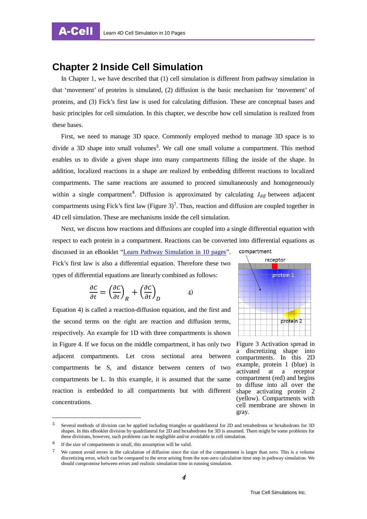#### <span id="page-7-0"></span>**Chapter 2 Inside Cell Simulation**

In Chapter 1, we have described that (1) cell simulation is different from pathway simulation in that 'movement' of proteins is simulated, (2) diffusion is the basic mechanism for 'movement' of proteins, and (3) Fick's first law is used for calculating diffusion. These are conceptual bases and basic principles for cell simulation. In this chapter, we describe how cell simulation is realized from these bases.

First, we need to manage 3D space. Commonly employed method to manage 3D space is to divide a 3D shape into small volumes<sup>[5](#page-5-2)</sup>. We call one small volume a compartment. This method enables us to divide a given shape into many compartments filling the inside of the shape. In addition, localized reactions in a shape are realized by embedding different reactions to localized compartments. The same reactions are assumed to proceed simultaneously and homogeneously within a single compartment<sup>[6](#page-7-1)</sup>. Diffusion is approximated by calculating  $J_{\text{diff}}$  between adjacent compartments using Fick's first law (Figure 3)<sup>[7](#page-7-2)</sup>. Thus, reaction and diffusion are coupled together in 4D cell simulation. These are mechanisms inside the cell simulation.

Next, we discuss how reactions and diffusions are coupled into a single differential equation with respect to each protein in a compartment. Reactions can be converted into differential equations as discussed in an eBooklet ["Learn Pathway Simulation in 10 pages"](http://engl.tc-simulations.com/dummy%ef%bc%91/dummy2/learn-pathway-simulation-in-10-pages/). compartment receptor Fick's first law is also a differential equation. Therefore these two

types of differential equations are linearly combined as follows:

$$
\frac{\partial C}{\partial t} = \left(\frac{\partial C}{\partial t}\right)_R + \left(\frac{\partial C}{\partial t}\right)_D \tag{4}
$$

Equation 4) is called a reaction-diffusion equation, and the first and the second terms on the right are reaction and diffusion terms, respectively. An example for 1D with three compartments is shown in Figure 4. If we focus on the middle compartment, it has only two adjacent compartments. Let cross sectional area between compartments be S, and distance between centers of two compartments be L. In this example, it is assumed that the same reaction is embedded to all compartments but with different concentrations.



Figure 3 Activation spread in a discretizing shape into compartments. In this 2D example, protein 1 (blue) is activated at a receptor compartment (red) and begins to diffuse into all over the shape activating protein 2 (yellow). Compartments with cell membrane are shown in gray.

<span id="page-7-3"></span> <sup>5</sup> Several methods of division can be applied including triangles or quadrilateral for 2D and tetrahedrons or hexahedrons for 3D shapes. In this eBooklet division by quadrilateral for 2D and hexahedrons for 3D is assumed. There might be some problems for these divisions, however, such problems can be negligible and/or avoidable in cell simulation.

<span id="page-7-1"></span> $6$  If the size of compartments is small, this assumption will be valid.

<span id="page-7-2"></span><sup>7</sup> We cannot avoid errors in the calculation of diffusion since the size of the compartment is larger than zero. This is a volume discretizing error, which can be compared to the error arising from the non-zero calculation time step in pathway simulation. We should compromise between errors and realistic simulation time in running simulation.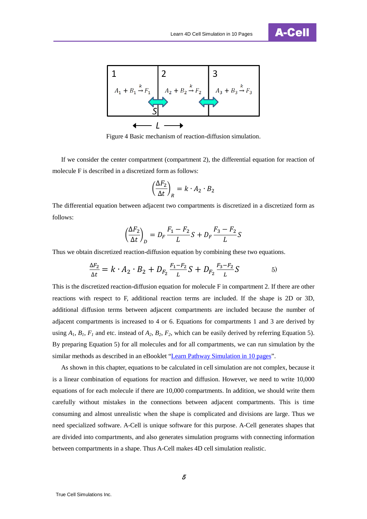



Figure 4 Basic mechanism of reaction-diffusion simulation.

If we consider the center compartment (compartment 2), the differential equation for reaction of molecule F is described in a discretized form as follows:

$$
\left(\frac{\Delta F_2}{\Delta t}\right)_R = k \cdot A_2 \cdot B_2
$$

The differential equation between adjacent two compartments is discretized in a discretized form as follows:

$$
\left(\frac{\Delta F_2}{\Delta t}\right)_D = D_F \frac{F_1 - F_2}{L} S + D_F \frac{F_3 - F_2}{L} S
$$

Thus we obtain discretized reaction-diffusion equation by combining these two equations.

$$
\frac{\Delta F_2}{\Delta t} = k \cdot A_2 \cdot B_2 + D_{F_2} \frac{F_1 - F_2}{L} S + D_{F_2} \frac{F_3 - F_2}{L} S \tag{5}
$$

This is the discretized reaction-diffusion equation for molecule F in compartment 2. If there are other reactions with respect to F, additional reaction terms are included. If the shape is 2D or 3D, additional diffusion terms between adjacent compartments are included because the number of adjacent compartments is increased to 4 or 6. Equations for compartments 1 and 3 are derived by using  $A_1$ ,  $B_1$ ,  $F_1$  and etc. instead of  $A_2$ ,  $B_2$ ,  $F_2$ , which can be easily derived by referring Equation 5). By preparing Equation 5) for all molecules and for all compartments, we can run simulation by the similar methods as described in an eBooklet ["Learn Pathway Simulation in 10 pages"](http://engl.tc-simulations.com/dummy%ef%bc%91/dummy2/learn-pathway-simulation-in-10-pages/).

As shown in this chapter, equations to be calculated in cell simulation are not complex, because it is a linear combination of equations for reaction and diffusion. However, we need to write 10,000 equations of for each molecule if there are 10,000 compartments. In addition, we should write them carefully without mistakes in the connections between adjacent compartments. This is time consuming and almost unrealistic when the shape is complicated and divisions are large. Thus we need specialized software. A-Cell is unique software for this purpose. A-Cell generates shapes that are divided into compartments, and also generates simulation programs with connecting information between compartments in a shape. Thus A-Cell makes 4D cell simulation realistic.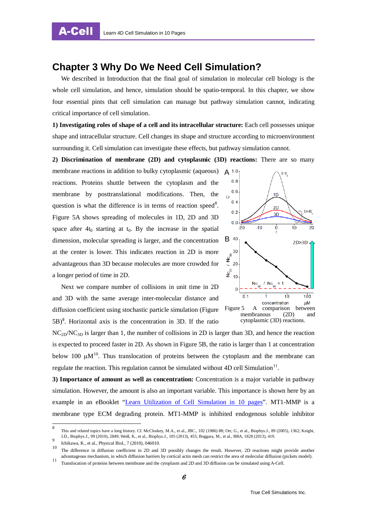### <span id="page-9-0"></span>**Chapter 3 Why Do We Need Cell Simulation?**

We described in Introduction that the final goal of simulation in molecular cell biology is the whole cell simulation, and hence, simulation should be spatio-temporal. In this chapter, we show four essential pints that cell simulation can manage but pathway simulation cannot, indicating critical importance of cell simulation.

**1) Investigating roles of shape of a cell and its intracellular structure:** Each cell possesses unique shape and intracellular structure. Cell changes its shape and structure according to microenvironment surrounding it. Cell simulation can investigate these effects, but pathway simulation cannot.

**2) Discrimination of membrane (2D) and cytoplasmic (3D) reactions:** There are so many

membrane reactions in addition to bulky cytoplasmic (aqueous) reactions. Proteins shuttle between the cytoplasm and the membrane by posttranslational modifications. Then, the question is what the difference is in terms of reaction speed<sup>[8](#page-7-3)</sup>. Figure 5A shows spreading of molecules in 1D, 2D and 3D space after  $4t_0$  starting at  $t_0$ . By the increase in the spatial dimension, molecular spreading is larger, and the concentration at the center is lower. This indicates reaction in 2D is more advantageous than 3D because molecules are more crowded for a longer period of time in 2D.



Next we compare number of collisions in unit time in 2D and 3D with the same average inter-molecular distance and diffusion coefficient using stochastic particle simulation (Figure  $(5B)^9$  $(5B)^9$ . Horizontal axis is the concentration in 3D. If the ratio

NC<sub>2D</sub>/NC<sub>3D</sub> is larger than 1, the number of collisions in 2D is larger than 3D, and hence the reaction is expected to proceed faster in 2D. As shown in Figure 5B, the ratio is larger than 1 at concentration below [10](#page-9-2)0  $\mu$ M<sup>10</sup>. Thus translocation of proteins between the cytoplasm and the membrane can regulate the reaction. This regulation cannot be simulated without  $4D$  cell Simulation<sup>[11](#page-9-3)</sup>.

**3) Importance of amount as well as concentration:** Concentration is a major variable in pathway simulation. However, the amount is also an important variable. This importance is shown here by an example in an eBooklet ["Learn Utilization of Cell Simulation in 10 pages"](http://engl.tc-simulations.com/a-cell/). MT1-MMP is a membrane type ECM degrading protein. MT1-MMP is inhibited endogenous soluble inhibitor

8 This and related topics have a long history. Cf. McCloskey, M.A., et al., JBC., 102 (1986) 88; Orr, G., et al., Biophys.J., 89 (2005), 1362; Knight, J.D., Biophys.J., 99 (2010), 2849; Weiß, K., et al., Biophys.J., 105 (2013), 455; Boggara, M., et al., BBA, 1828 (2013), 419.<br>
Ichikawa, K., et al., Physical Biol., 7 (2010), 046010.

<span id="page-9-4"></span><span id="page-9-1"></span>

<span id="page-9-2"></span><sup>10</sup> The difference in diffusion coefficient in 2D and 3D possibly changes the result. However, 2D reactions might provide another advantageous mechanism, in which diffusion barriers by cortical actin mesh can restrict the area of molecular diffusion (pickets model).<br>Translocation of proteins between membrane and the cytoplasm and 2D and 3D diffusion

<span id="page-9-3"></span>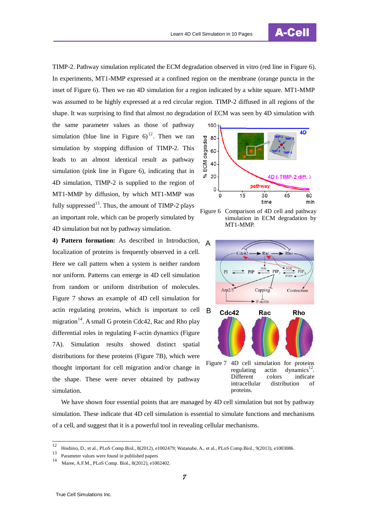

TIMP-2. Pathway simulation replicated the ECM degradation observed in vitro (red line in Figure 6). In experiments, MT1-MMP expressed at a confined region on the membrane (orange puncta in the inset of Figure 6). Then we ran 4D simulation for a region indicated by a white square. MT1-MMP was assumed to be highly expressed at a red circular region. TIMP-2 diffused in all regions of the shape. It was surprising to find that almost no degradation of ECM was seen by 4D simulation with

the same parameter values as those of pathway simulation (blue line in Figure  $6^{12}$  $6^{12}$  $6^{12}$ . Then we ran simulation by stopping diffusion of TIMP-2. This leads to an almost identical result as pathway simulation (pink line in Figure 6), indicating that in 4D simulation, TIMP-2 is supplied to the region of MT1-MMP by diffusion, by which MT1-MMP was fully suppressed<sup>13</sup>. Thus, the amount of TIMP-2 plays an important role, which can be properly simulated by 4D simulation but not by pathway simulation.

**4) Pattern formation:** As described in Introduction, localization of proteins is frequently observed in a cell. Here we call pattern when a system is neither random nor uniform. Patterns can emerge in 4D cell simulation from random or uniform distribution of molecules. Figure 7 shows an example of 4D cell simulation for actin regulating proteins, which is important to cell migration<sup>14</sup>. A small G protein Cdc42, Rac and Rho play differential roles in regulating F-actin dynamics (Figure 7A). Simulation results showed distinct spatial distributions for these proteins (Figure 7B), which were thought important for cell migration and/or change in the shape. These were never obtained by pathway simulation.



Figure 6 Comparison of 4D cell and pathway simulation in ECM degradation by MT1-MMP.



We have shown four essential points that are managed by 4D cell simulation but not by pathway simulation. These indicate that 4D cell simulation is essential to simulate functions and mechanisms of a cell, and suggest that it is a powerful tool in revealing cellular mechanisms.

<span id="page-10-2"></span><sup>&</sup>lt;sup>12</sup> Hoshino, D., et al., PLoS Comp.Biol., 8(2012), e1002479; Watanabe, A., et al., PLoS Comp.Biol., 9(2013), e1003086.

<span id="page-10-0"></span> $\frac{13}{14}$  Parameter values were found in published papers

<span id="page-10-1"></span>Maree, A.F.M., PLoS Comp. Biol., 8(2012), e1002402.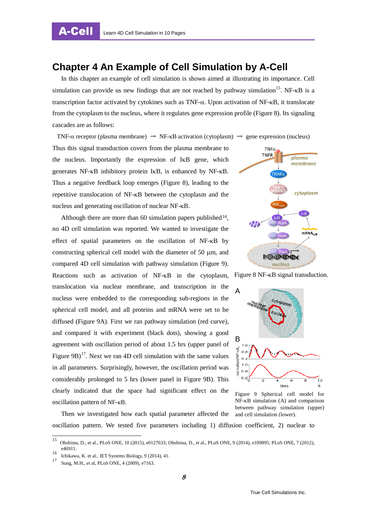A-Cell

#### <span id="page-11-0"></span>**Chapter 4 An Example of Cell Simulation by A-Cell**

In this chapter an example of cell simulation is shown aimed at illustrating its importance. Cell simulation can provide us new findings that are not reached by pathway simulation<sup>[15](#page-10-2)</sup>. NF- $\kappa$ B is a transcription factor activated by cytokines such as TNF-α. Upon activation of NF-κB, it translocate from the cytoplasm to the nucleus, where it regulates gene expression profile (Figure 8). Its signaling cascades are as follows:

TNF- $\alpha$  receptor (plasma membrane)  $\rightarrow$  NF- $\kappa$ B activation (cytoplasm)  $\rightarrow$  gene expression (nucleus) Thus this signal transduction covers from the plasma membrane to the nucleus. Importantly the expression of IκB gene, which generates NF-κB inhibitory protein IκB, is enhanced by NF-κB. Thus a negative feedback loop emerges (Figure 8), leading to the repetitive translocation of NF-κB between the cytoplasm and the nucleus and generating oscillation of nuclear NF-κB.

Although there are more than 60 simulation papers published<sup>[16](#page-11-1)</sup>, no 4D cell simulation was reported. We wanted to investigate the effect of spatial parameters on the oscillation of NF-κB by constructing spherical cell model with the diameter of 50  $\mu$ m, and compared 4D cell simulation with pathway simulation (Figure 9). Reactions such as activation of NF-κB in the cytoplasm, translocation via nuclear membrane, and transcription in the nucleus were embedded to the corresponding sub-regions in the spherical cell model, and all proteins and mRNA were set to be diffused (Figure 9A). First we ran pathway simulation (red curve), and compared it with experiment (black dots), showing a good agreement with oscillation period of about 1.5 hrs (upper panel of Figure 9B)<sup>[17](#page-11-2)</sup>. Next we ran 4D cell simulation with the same values in all parameters. Surprisingly, however, the oscillation period was considerably prolonged to 5 hrs (lower panel in Figure 9B). This clearly indicated that the space had significant effect on the oscillation pattern of NF-κB.

Then we investigated how each spatial parameter affected the



Figure 8 NF-κB signal transduction.



Figure 9 Spherical cell model for NF-κB simulation (A) and comparison between pathway simulation (upper) and cell simulation (lower).

oscillation pattern. We tested five parameters including 1) diffusion coefficient, 2) nuclear to

<span id="page-11-3"></span><sup>15</sup> Ohshima, D., et al., PLoS ONE, 10 (2015), e0127633; Ohshima, D., et al., PLoS ONE, 9 (2014), e109895; PLoS ONE, 7 (2012), e46911.

<span id="page-11-2"></span><span id="page-11-1"></span><sup>16</sup> Ichikawa, K. et al., IET Systems Biology, 9 (2014), 41.

Sung, M.H., et al, PLoS ONE, 4 (2009), e7163.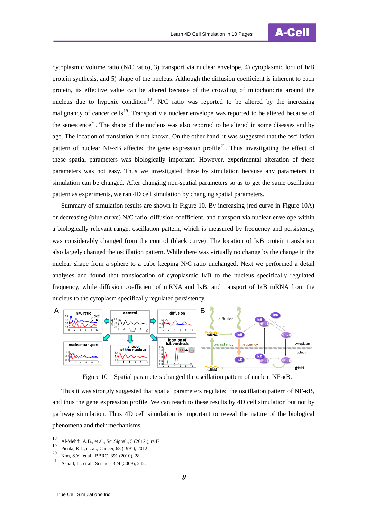

cytoplasmic volume ratio (N/C ratio), 3) transport via nuclear envelope, 4) cytoplasmic loci of IκB protein synthesis, and 5) shape of the nucleus. Although the diffusion coefficient is inherent to each protein, its effective value can be altered because of the crowding of mitochondria around the nucleus due to hypoxic condition<sup>[18](#page-11-3)</sup>. N/C ratio was reported to be altered by the increasing malignancy of cancer cells<sup>19</sup>. Transport via nuclear envelope was reported to be altered because of the senescence<sup>[20](#page-12-1)</sup>. The shape of the nucleus was also reported to be altered in some diseases and by age. The location of translation is not known. On the other hand, it was suggested that the oscillation pattern of nuclear NF- $\kappa$ B affected the gene expression profile<sup>[21](#page-12-2)</sup>. Thus investigating the effect of these spatial parameters was biologically important. However, experimental alteration of these parameters was not easy. Thus we investigated these by simulation because any parameters in simulation can be changed. After changing non-spatial parameters so as to get the same oscillation pattern as experiments, we ran 4D cell simulation by changing spatial parameters.

Summary of simulation results are shown in Figure 10. By increasing (red curve in Figure 10A) or decreasing (blue curve) N/C ratio, diffusion coefficient, and transport via nuclear envelope within a biologically relevant range, oscillation pattern, which is measured by frequency and persistency, was considerably changed from the control (black curve). The location of I<sub>KB</sub> protein translation also largely changed the oscillation pattern. While there was virtually no change by the change in the nuclear shape from a sphere to a cube keeping N/C ratio unchanged. Next we performed a detail analyses and found that translocation of cytoplasmic IκB to the nucleus specifically regulated frequency, while diffusion coefficient of mRNA and IκB, and transport of IκB mRNA from the nucleus to the cytoplasm specifically regulated persistency.



Figure 10 Spatial parameters changed the oscillation pattern of nuclear NF-κB.

Thus it was strongly suggested that spatial parameters regulated the oscillation pattern of NF-κB, and thus the gene expression profile. We can reach to these results by 4D cell simulation but not by pathway simulation. Thus 4D cell simulation is important to reveal the nature of the biological phenomena and their mechanisms.

<sup>&</sup>lt;sup>18</sup> Al-Mehdi, A.B., et al., Sci.Signal., 5 (2012.), ra47.

<span id="page-12-0"></span><sup>19</sup> Pienta, K.J., et. al., Cancer, 68 (1991), 2012.<br>20 King S.V., et. al., DDDC, 201 (2010), 28

<span id="page-12-1"></span> $\frac{20}{21}$  Kim, S.Y., et al., BBRC, 391 (2010), 28.

<span id="page-12-2"></span><sup>21</sup> Ashall, L., et al., Science, 324 (2009), 242.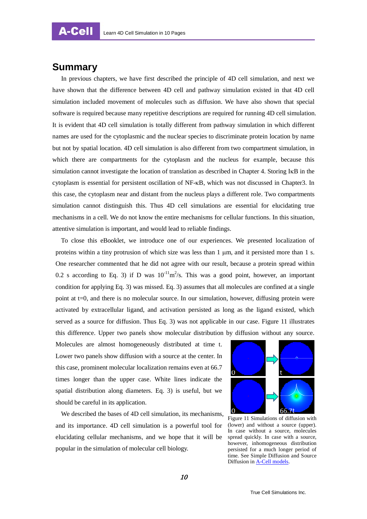#### <span id="page-13-0"></span>**Summary**

In previous chapters, we have first described the principle of 4D cell simulation, and next we have shown that the difference between 4D cell and pathway simulation existed in that 4D cell simulation included movement of molecules such as diffusion. We have also shown that special software is required because many repetitive descriptions are required for running 4D cell simulation. It is evident that 4D cell simulation is totally different from pathway simulation in which different names are used for the cytoplasmic and the nuclear species to discriminate protein location by name but not by spatial location. 4D cell simulation is also different from two compartment simulation, in which there are compartments for the cytoplasm and the nucleus for example, because this simulation cannot investigate the location of translation as described in Chapter 4. Storing IκB in the cytoplasm is essential for persistent oscillation of NF-κB, which was not discussed in Chapter3. In this case, the cytoplasm near and distant from the nucleus plays a different role. Two compartments simulation cannot distinguish this. Thus 4D cell simulations are essential for elucidating true mechanisms in a cell. We do not know the entire mechanisms for cellular functions. In this situation, attentive simulation is important, and would lead to reliable findings.

To close this eBooklet, we introduce one of our experiences. We presented localization of proteins within a tiny protrusion of which size was less than  $1 \mu m$ , and it persisted more than  $1 \, \text{s}$ . One researcher commented that he did not agree with our result, because a protein spread within 0.2 s according to Eq. 3) if D was  $10^{-11}$ m<sup>2</sup>/s. This was a good point, however, an important condition for applying Eq. 3) was missed. Eq. 3) assumes that all molecules are confined at a single point at t=0, and there is no molecular source. In our simulation, however, diffusing protein were activated by extracellular ligand, and activation persisted as long as the ligand existed, which served as a source for diffusion. Thus Eq. 3) was not applicable in our case. Figure 11 illustrates this difference. Upper two panels show molecular distribution by diffusion without any source.

Molecules are almost homogeneously distributed at time t. Lower two panels show diffusion with a source at the center. In this case, prominent molecular localization remains even at 66.7 times longer than the upper case. White lines indicate the spatial distribution along diameters. Eq. 3) is useful, but we should be careful in its application.

We described the bases of 4D cell simulation, its mechanisms, and its importance. 4D cell simulation is a powerful tool for elucidating cellular mechanisms, and we hope that it will be popular in the simulation of molecular cell biology.



Figure 11 Simulations of diffusion with (lower) and without a source (upper). In case without a source, molecules spread quickly. In case with a source, however, inhomogeneous distribution persisted for a much longer period of time. See Simple Diffusion and Source Diffusion i[n A-Cell models.](http://engl.tc-simulations.com/models/)